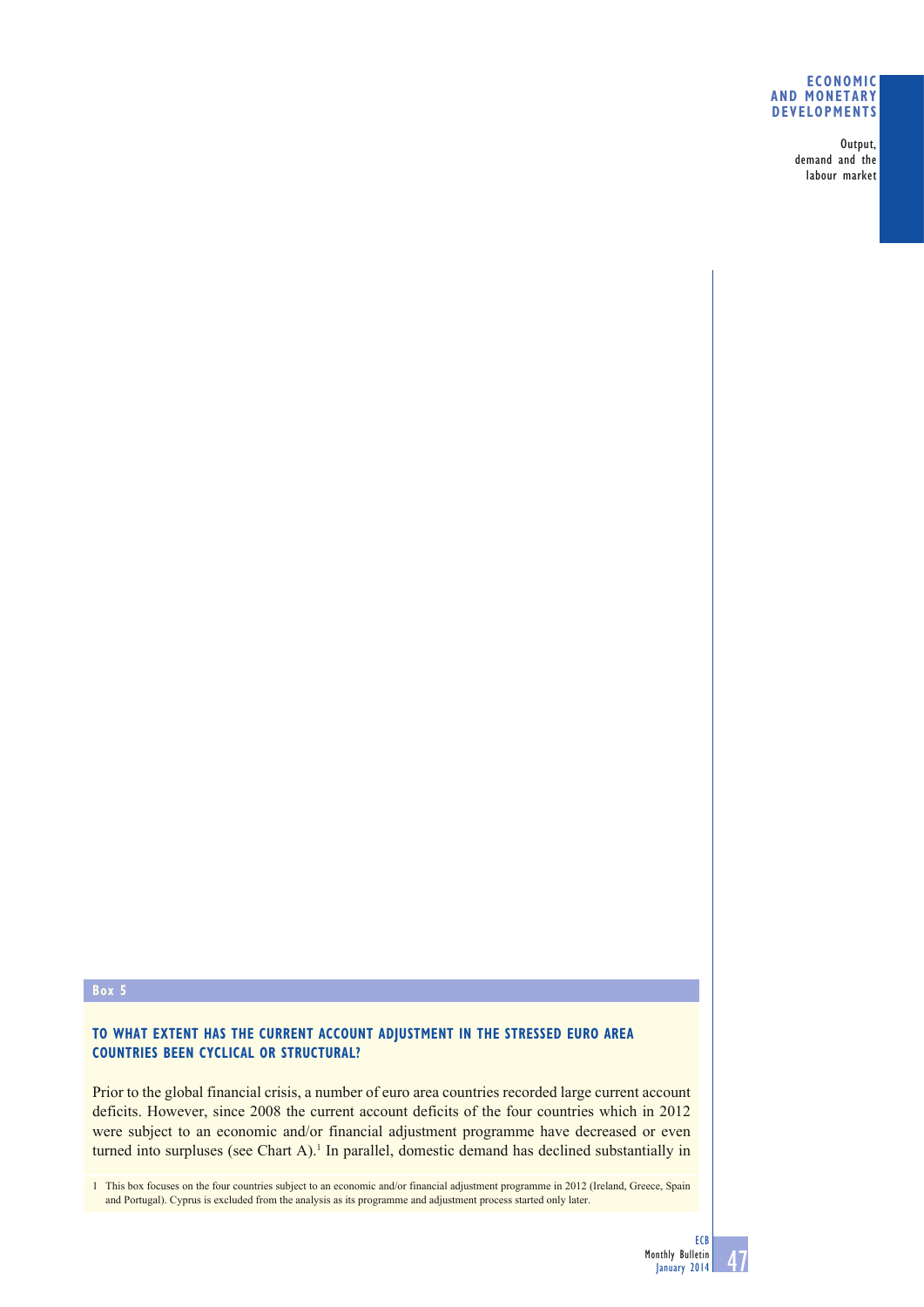## **ECONOMIC AND MONETARY DEVELOPMENTS**

Output, demand and the labour market

## **Box 5**

# **TO WHAT EXTENT HAS THE CURRENT ACCOUNT ADJUSTMENT IN THE STRESSED EURO AREA COUNTRIES BEEN CYCLICAL OR STRUCTURAL?**

Prior to the global financial crisis, a number of euro area countries recorded large current account deficits. However, since 2008 the current account deficits of the four countries which in 2012 were subject to an economic and/or financial adjustment programme have decreased or even turned into surpluses (see Chart A).<sup>1</sup> In parallel, domestic demand has declined substantially in

1 This box focuses on the four countries subject to an economic and/or financial adjustment programme in 2012 (Ireland, Greece, Spain and Portugal). Cyprus is excluded from the analysis as its programme and adjustment process started only later.

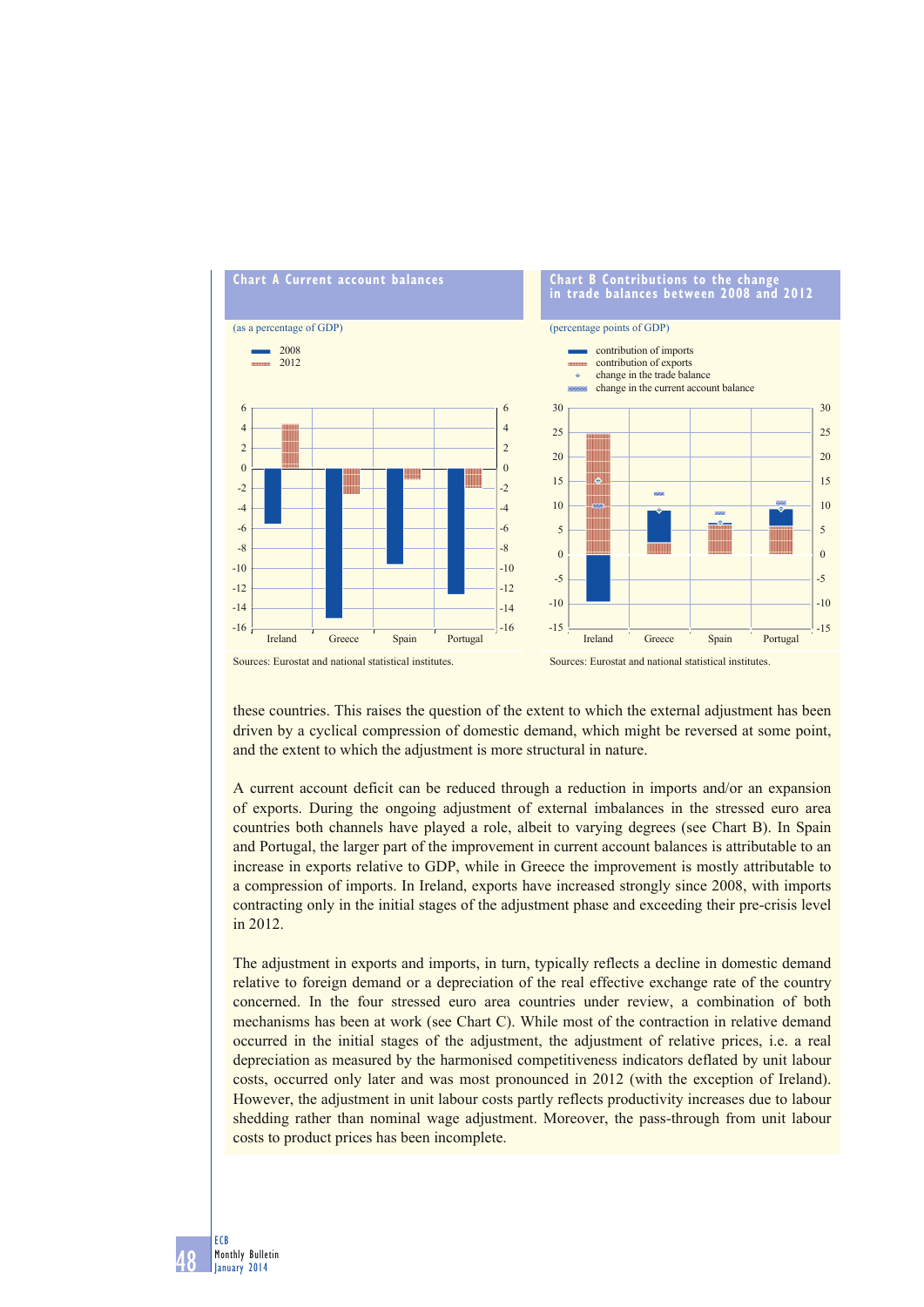

these countries. This raises the question of the extent to which the external adjustment has been driven by a cyclical compression of domestic demand, which might be reversed at some point, and the extent to which the adjustment is more structural in nature.

A current account deficit can be reduced through a reduction in imports and/or an expansion of exports. During the ongoing adjustment of external imbalances in the stressed euro area countries both channels have played a role, albeit to varying degrees (see Chart B). In Spain and Portugal, the larger part of the improvement in current account balances is attributable to an increase in exports relative to GDP, while in Greece the improvement is mostly attributable to a compression of imports. In Ireland, exports have increased strongly since 2008, with imports contracting only in the initial stages of the adjustment phase and exceeding their pre-crisis level in 2012.

The adjustment in exports and imports, in turn, typically reflects a decline in domestic demand relative to foreign demand or a depreciation of the real effective exchange rate of the country concerned. In the four stressed euro area countries under review, a combination of both mechanisms has been at work (see Chart C). While most of the contraction in relative demand occurred in the initial stages of the adjustment, the adjustment of relative prices, i.e. a real depreciation as measured by the harmonised competitiveness indicators deflated by unit labour costs, occurred only later and was most pronounced in 2012 (with the exception of Ireland). However, the adjustment in unit labour costs partly reflects productivity increases due to labour shedding rather than nominal wage adjustment. Moreover, the pass-through from unit labour costs to product prices has been incomplete.

48

ECB Monthly Bulletin January 2014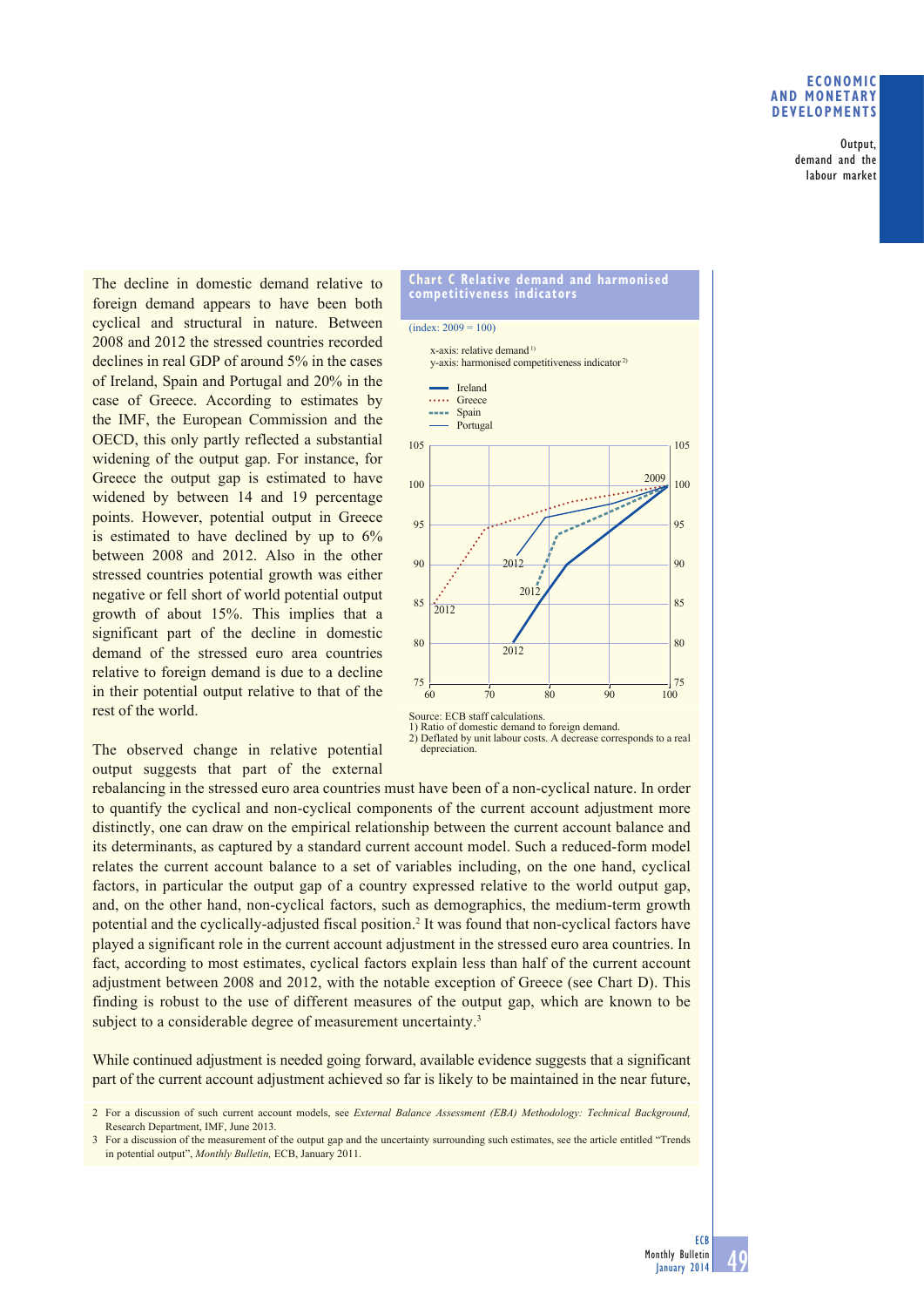## **ECONOMIC AND MONETARY DEVELOPMENTS**

Output, demand and the labour market

The decline in domestic demand relative to foreign demand appears to have been both cyclical and structural in nature. Between 2008 and 2012 the stressed countries recorded declines in real GDP of around 5% in the cases of Ireland, Spain and Portugal and 20% in the case of Greece. According to estimates by the IMF, the European Commission and the OECD, this only partly reflected a substantial widening of the output gap. For instance, for Greece the output gap is estimated to have widened by between 14 and 19 percentage points. However, potential output in Greece is estimated to have declined by up to 6% between 2008 and 2012. Also in the other stressed countries potential growth was either negative or fell short of world potential output growth of about 15%. This implies that a significant part of the decline in domestic demand of the stressed euro area countries relative to foreign demand is due to a decline in their potential output relative to that of the rest of the world.

The observed change in relative potential output suggests that part of the external



2) Deflated by unit labour costs. A decrease corresponds to a real depreciation.

rebalancing in the stressed euro area countries must have been of a non-cyclical nature. In order to quantify the cyclical and non-cyclical components of the current account adjustment more distinctly, one can draw on the empirical relationship between the current account balance and its determinants, as captured by a standard current account model. Such a reduced-form model relates the current account balance to a set of variables including, on the one hand, cyclical factors, in particular the output gap of a country expressed relative to the world output gap, and, on the other hand, non-cyclical factors, such as demographics, the medium-term growth potential and the cyclically-adjusted fiscal position.<sup>2</sup> It was found that non-cyclical factors have played a significant role in the current account adjustment in the stressed euro area countries. In fact, according to most estimates, cyclical factors explain less than half of the current account adjustment between 2008 and 2012, with the notable exception of Greece (see Chart D). This finding is robust to the use of different measures of the output gap, which are known to be subject to a considerable degree of measurement uncertainty.<sup>3</sup>

While continued adjustment is needed going forward, available evidence suggests that a significant part of the current account adjustment achieved so far is likely to be maintained in the near future,

<sup>2</sup> For a discussion of such current account models, see *External Balance Assessment (EBA) Methodology: Technical Background,*  Research Department, IMF, June 2013.

<sup>3</sup> For a discussion of the measurement of the output gap and the uncertainty surrounding such estimates, see the article entitled "Trends in potential output", *Monthly Bulletin,* ECB, January 2011.